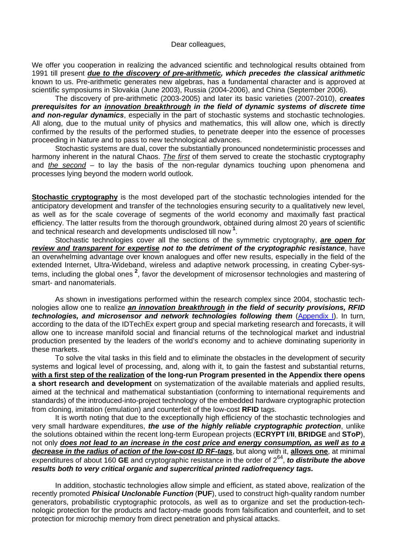## Dear colleagues,

We offer you cooperation in realizing the advanced scientific and technological results obtained from 1991 till present *due to the discovery of pre-arithmetic, which precedes the classical arithmetic* known to us. Pre-arithmetic generates new algebras, has a fundamental character and is approved at scientific symposiums in Slovakia (June 2003), Russia (2004-2006), and China (September 2006).

The discovery of pre-arithmetic (2003-2005) and later its basic varieties (2007-2010), *creates prerequisites for an innovation breakthrough in the field of dynamic systems of discrete time and non-regular dynamics*, especially in the part of stochastic systems and stochastic technologies. All along, due to the mutual unity of physics and mathematics, this will allow one, which is directly confirmed by the results of the performed studies, to penetrate deeper into the essence of processes proceeding in Nature and to pass to new technological advances.

Stochastic systems are dual, cover the substantially pronounced nondeterministic processes and harmony inherent in the natural Chaos. *The first* of them served to create the stochastic cryptography and *the second* – to lay the basis of the non-regular dynamics touching upon phenomena and processes lying beyond the modern world outlook.

**Stochastic cryptography** is the most developed part of the stochastic technologies intended for the anticipatory development and transfer of the technologies ensuring security to a qualitatively new level, as well as for the scale coverage of segments of the world economy and maximally fast practical efficiency. The latter results from the thorough groundwork, obtained during almost 20 years of scientific and technical research and developments undisclosed till now **[1](#page-1-0)** .

Stochastic technologies cover all the sections of the symmetric cryptography, *are open for review and transparent for expertise not to the detriment of the cryptographic resistance*, have an overwhelming advantage over known analogues and offer new results, especially in the field of the extended Internet, Ultra-Wideband, wireless and adaptive network processing, in creating Cyber-sys-tems, including the global ones<sup>[2](#page-1-1)</sup>, favor the development of microsensor technologies and mastering of smart- and nanomaterials.

As shown in investigations performed within the research complex since 2004, stochastic technologies allow one to realize *an innovation breakthrough in the field of security provisions, RFID technologies, and microsensor and network technologies following them* [\(Appendix I](http://random-art.ru/?download=Appendix_I.pdf)). In turn, according to the data of the IDTechEx expert group and special marketing research and forecasts, it will allow one to increase manifold social and financial returns of the technological market and industrial production presented by the leaders of the world's economy and to achieve dominating superiority in these markets.

To solve the vital tasks in this field and to eliminate the obstacles in the development of security systems and logical level of processing, and, along with it, to gain the fastest and substantial returns, **with a first step of the realization of the long-run Program presented in the Appendix there opens a short research and development** on systematization of the available materials and applied results, aimed at the technical and mathematical substantiation (conforming to international requirements and standards) of the introduced-into-project technology of the embedded hardware cryptographic protection from cloning, imitation (emulation) and counterfeit of the low-cost **RFID** tags.

It is worth noting that due to the exceptionally high efficiency of the stochastic technologies and very small hardware expenditures, *the use of the highly reliable cryptographic protection*, unlike the solutions obtained within the recent long-term European projects (**ECRYPT I**/**II**, **BRIDGE** and **SToP**), not only *does not lead to an increase in the cost price and energy consumption, as well as to a decrease in the radius of action of the low-cost ID RF-tags*, but along with it, **allows one**, at minimal expenditures of about 160 **GE** and cryptographic resistance in the order of  $2^{64}$ , **to distribute the above** *results both to very critical organic and supercritical printed radiofrequency tags.*

In addition, stochastic technologies allow simple and efficient, as stated above, realization of the recently promoted *Phisical Unclonable Function* (**PUF**), used to construct high-quality random number generators, probabilistic cryptographic protocols, as well as to organize and set the production-technologic protection for the products and factory-made goods from falsification and counterfeit, and to set protection for microchip memory from direct penetration and physical attacks.